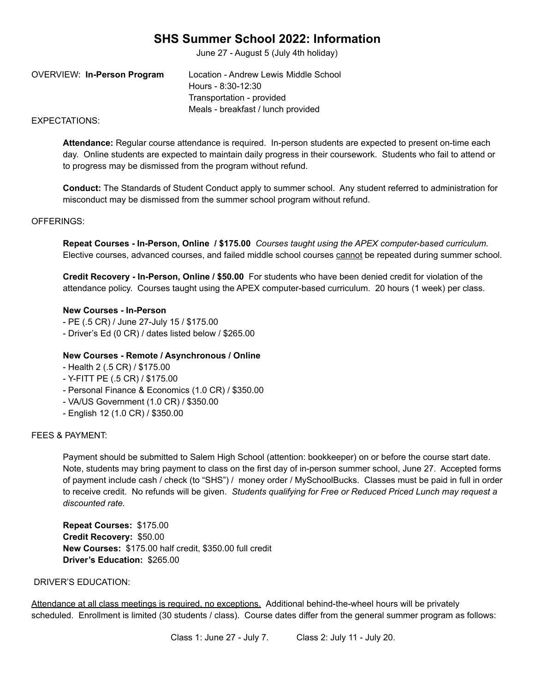# **SHS Summer School 2022: Information**

June 27 - August 5 (July 4th holiday)

OVERVIEW: **In-Person Program** Location - Andrew Lewis Middle School Hours - 8:30-12:30 Transportation - provided Meals - breakfast / lunch provided

## EXPECTATIONS:

**Attendance:** Regular course attendance is required. In-person students are expected to present on-time each day. Online students are expected to maintain daily progress in their coursework. Students who fail to attend or to progress may be dismissed from the program without refund.

**Conduct:** The Standards of Student Conduct apply to summer school. Any student referred to administration for misconduct may be dismissed from the summer school program without refund.

## OFFERINGS:

**Repeat Courses - In-Person, Online / \$175.00** *Courses taught using the APEX computer-based curriculum.* Elective courses, advanced courses, and failed middle school courses cannot be repeated during summer school.

**Credit Recovery - In-Person, Online / \$50.00** For students who have been denied credit for violation of the attendance policy. Courses taught using the APEX computer-based curriculum. 20 hours (1 week) per class.

## **New Courses - In-Person**

- PE (.5 CR) / June 27-July 15 / \$175.00
- Driver's Ed (0 CR) / dates listed below / \$265.00

#### **New Courses - Remote / Asynchronous / Online**

- Health 2 (.5 CR) / \$175.00
- Y-FITT PE (.5 CR) / \$175.00
- Personal Finance & Economics (1.0 CR) / \$350.00
- VA/US Government (1.0 CR) / \$350.00
- English 12 (1.0 CR) / \$350.00

## FEES & PAYMENT:

Payment should be submitted to Salem High School (attention: bookkeeper) on or before the course start date. Note, students may bring payment to class on the first day of in-person summer school, June 27. Accepted forms of payment include cash / check (to "SHS") / money order / MySchoolBucks. Classes must be paid in full in order to receive credit. No refunds will be given. *Students qualifying for Free or Reduced Priced Lunch may request a discounted rate.*

**Repeat Courses:** \$175.00 **Credit Recovery:** \$50.00 **New Courses:** \$175.00 half credit, \$350.00 full credit **Driver's Education:** \$265.00

#### DRIVER'S EDUCATION:

Attendance at all class meetings is required, no exceptions. Additional behind-the-wheel hours will be privately scheduled. Enrollment is limited (30 students / class). Course dates differ from the general summer program as follows:

Class 1: June 27 - July 7. Class 2: July 11 - July 20.